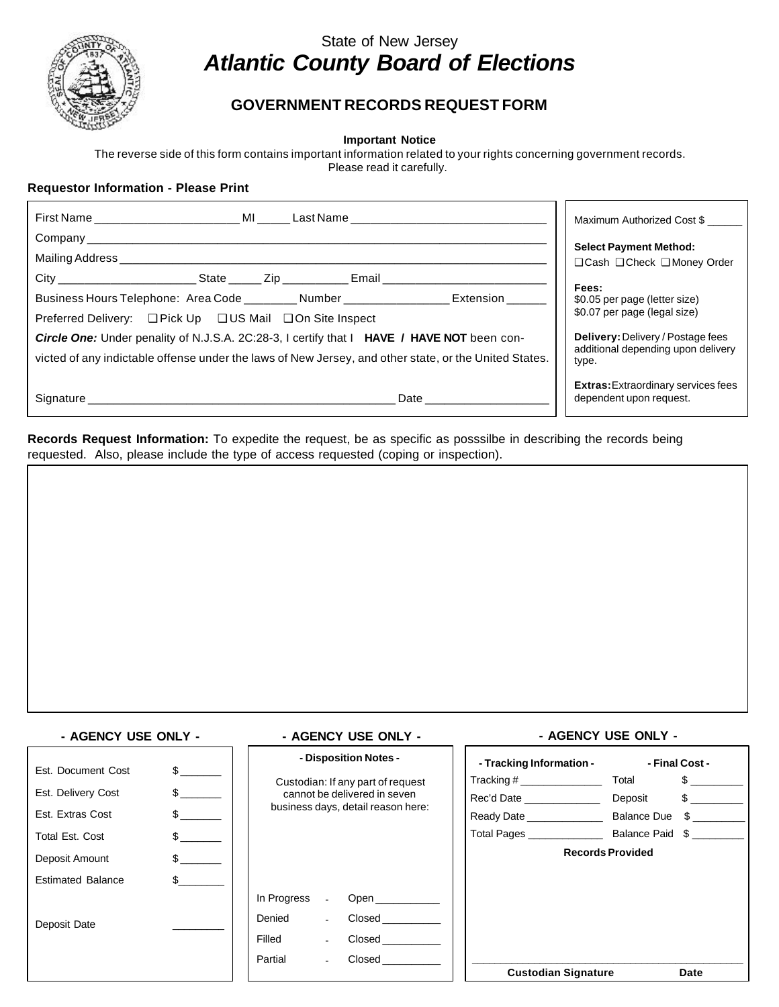

# State of New Jersey *Atlantic County Board of Elections*

## **GOVERNMENT RECORDS REQUEST FORM**

**Important Notice**

The reverse side of this form contains important information related to your rights concerning government records.

Please read it carefully.

### **Requestor Information - Please Print**

| First Name <b>MI</b> Basi Name <b>Cast Name</b>                                                                                                                                                                                                                                                                                                                                                                                                      | Maximum Authorized Cost \$                                                                                                                                 |
|------------------------------------------------------------------------------------------------------------------------------------------------------------------------------------------------------------------------------------------------------------------------------------------------------------------------------------------------------------------------------------------------------------------------------------------------------|------------------------------------------------------------------------------------------------------------------------------------------------------------|
|                                                                                                                                                                                                                                                                                                                                                                                                                                                      | <b>Select Payment Method:</b>                                                                                                                              |
| Mailing Address ________________________                                                                                                                                                                                                                                                                                                                                                                                                             | $\Box$ Cash $\Box$ Check $\Box$ Money Order                                                                                                                |
| City _______________________State ______ Zip ___________ Email _________<br>Business Hours Telephone: Area Code _________ Number _________________ Extension _____<br>Preferred Delivery: □ Pick Up □ US Mail □ On Site Inspect<br><b>Circle One:</b> Under penality of N.J.S.A. 2C:28-3, I certify that I <b>HAVE / HAVE NOT</b> been con-<br>victed of any indictable offense under the laws of New Jersey, and other state, or the United States. | Fees:<br>\$0.05 per page (letter size)<br>\$0.07 per page (legal size)<br>Delivery: Delivery / Postage fees<br>additional depending upon delivery<br>type. |
| Signature <b>Signature</b> and the state of the state of the state of the state of the state of the state of the state of the state of the state of the state of the state of the state of the state of the state of the state of t<br>Date and the state of the state of the state of the state of the state of the state of the state of the state                                                                                                 | <b>Extras:</b> Extraordinary services fees<br>dependent upon request.                                                                                      |

**Records Request Information:** To expedite the request, be as specific as posssilbe in describing the records being requested. Also, please include the type of access requested (coping or inspection).

### **- AGENCY USE ONLY - - AGENCY USE ONLY - - AGENCY USE ONLY -**

| Est. Document Cost       | $\mathbb{S}$ and $\mathbb{S}$ | - Disposition Notes -                                                                                   | - Tracking Information -   | - Final Cost -  |
|--------------------------|-------------------------------|---------------------------------------------------------------------------------------------------------|----------------------------|-----------------|
|                          |                               | Custodian: If any part of request<br>cannot be delivered in seven<br>business days, detail reason here: | Tracking #                 | Total<br>\$     |
| Est. Delivery Cost       | $\mathbb{S}$                  |                                                                                                         | Rec'd Date _____________   | \$<br>Deposit   |
| Est. Extras Cost         | $\mathbb{S}$ and $\mathbb{S}$ |                                                                                                         | Ready Date <b>Ready</b>    | Balance Due \$  |
| Total Est. Cost          |                               |                                                                                                         | Total Pages                | Balance Paid \$ |
| Deposit Amount           | $\mathbb{S}$                  | <b>Records Provided</b>                                                                                 |                            |                 |
| <b>Estimated Balance</b> |                               |                                                                                                         |                            |                 |
|                          |                               | In Progress<br>Open $\_\_\_\_\$                                                                         |                            |                 |
| Deposit Date             |                               | Denied<br>Closed<br>$\overline{\phantom{0}}$                                                            |                            |                 |
|                          |                               | Filled<br>Closed<br>۰                                                                                   |                            |                 |
|                          |                               | Partial<br>Closed<br>$\blacksquare$                                                                     |                            |                 |
|                          |                               |                                                                                                         | <b>Custodian Signature</b> | Date            |